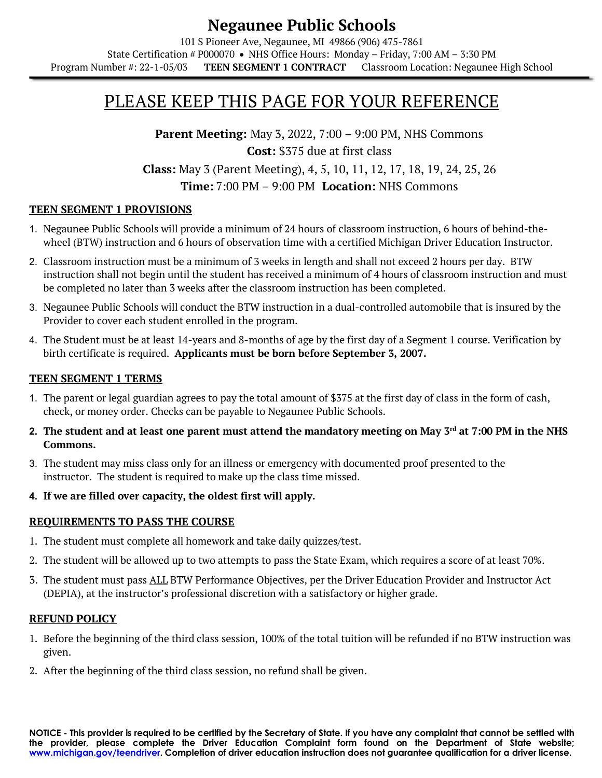#### **Negaunee Public Schools** 101 S Pioneer Ave, Negaunee, MI 49866 (906) 475-7861 State Certification # P000070 • NHS Office Hours: Monday – Friday, 7:00 AM – 3:30 PM Program Number #: 22-1-05/03 **TEEN SEGMENT 1 CONTRACT** Classroom Location: Negaunee High School

# PLEASE KEEP THIS PAGE FOR YOUR REFERENCE

**Parent Meeting:** May 3, 2022, 7:00 – 9:00 PM, NHS Commons **Cost:** \$375 due at first class **Class:** May 3 (Parent Meeting), 4, 5, 10, 11, 12, 17, 18, 19, 24, 25, 26 **Time:** 7:00 PM – 9:00 PM **Location:** NHS Commons

#### **TEEN SEGMENT 1 PROVISIONS**

- 1. Negaunee Public Schools will provide a minimum of 24 hours of classroom instruction, 6 hours of behind-thewheel (BTW) instruction and 6 hours of observation time with a certified Michigan Driver Education Instructor.
- 2. Classroom instruction must be a minimum of 3 weeks in length and shall not exceed 2 hours per day. BTW instruction shall not begin until the student has received a minimum of 4 hours of classroom instruction and must be completed no later than 3 weeks after the classroom instruction has been completed.
- 3. Negaunee Public Schools will conduct the BTW instruction in a dual-controlled automobile that is insured by the Provider to cover each student enrolled in the program.
- 4. The Student must be at least 14-years and 8-months of age by the first day of a Segment 1 course. Verification by birth certificate is required. **Applicants must be born before September 3, 2007.**

#### **TEEN SEGMENT 1 TERMS**

- 1. The parent or legal guardian agrees to pay the total amount of \$375 at the first day of class in the form of cash, check, or money order. Checks can be payable to Negaunee Public Schools.
- **2. The student and at least one parent must attend the mandatory meeting on May 3rd at 7:00 PM in the NHS Commons.**
- 3. The student may miss class only for an illness or emergency with documented proof presented to the instructor. The student is required to make up the class time missed.
- **4. If we are filled over capacity, the oldest first will apply.**

#### **REQUIREMENTS TO PASS THE COURSE**

- 1. The student must complete all homework and take daily quizzes/test.
- 2. The student will be allowed up to two attempts to pass the State Exam, which requires a score of at least 70%.
- 3. The student must pass ALL BTW Performance Objectives, per the Driver Education Provider and Instructor Act (DEPIA), at the instructor's professional discretion with a satisfactory or higher grade.

#### **REFUND POLICY**

- 1. Before the beginning of the third class session, 100% of the total tuition will be refunded if no BTW instruction was given.
- 2. After the beginning of the third class session, no refund shall be given.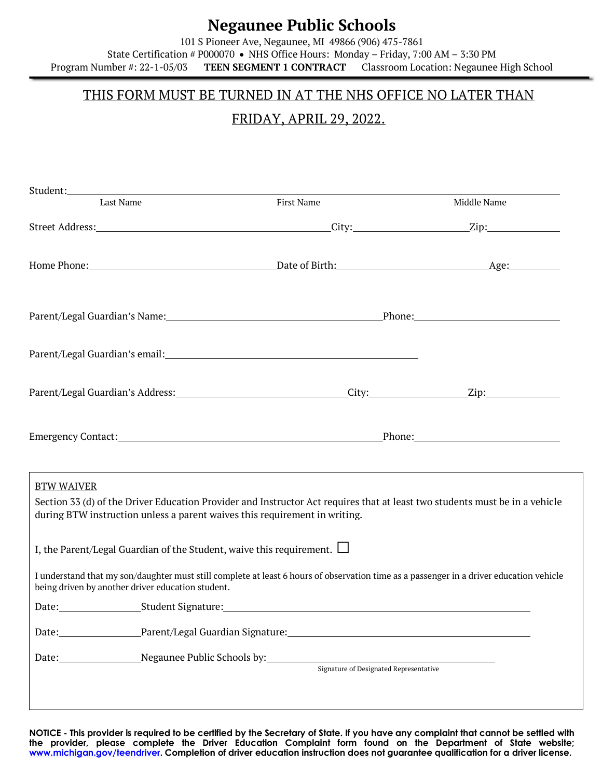## **Negaunee Public Schools**

101 S Pioneer Ave, Negaunee, MI 49866 (906) 475-7861 State Certification # P000070 • NHS Office Hours: Monday – Friday, 7:00 AM – 3:30 PM Program Number #: 22-1-05/03 **TEEN SEGMENT 1 CONTRACT** Classroom Location: Negaunee High School

### THIS FORM MUST BE TURNED IN AT THE NHS OFFICE NO LATER THAN

## FRIDAY, APRIL 29, 2022.

| Student: North Commission of the Commission of the Commission of the Commission of the Commission of the Commission of the Commission of the Commission of the Commission of the Commission of the Commission of the Commissio |                                                                                                                                                                                                                                                                                                                                                                                                                                     |             |
|--------------------------------------------------------------------------------------------------------------------------------------------------------------------------------------------------------------------------------|-------------------------------------------------------------------------------------------------------------------------------------------------------------------------------------------------------------------------------------------------------------------------------------------------------------------------------------------------------------------------------------------------------------------------------------|-------------|
| Last Name                                                                                                                                                                                                                      | First Name                                                                                                                                                                                                                                                                                                                                                                                                                          | Middle Name |
|                                                                                                                                                                                                                                |                                                                                                                                                                                                                                                                                                                                                                                                                                     |             |
|                                                                                                                                                                                                                                |                                                                                                                                                                                                                                                                                                                                                                                                                                     |             |
|                                                                                                                                                                                                                                |                                                                                                                                                                                                                                                                                                                                                                                                                                     |             |
|                                                                                                                                                                                                                                | Parent/Legal Guardian's email:<br><u>Darent/Legal Guardian's email:</u>                                                                                                                                                                                                                                                                                                                                                             |             |
|                                                                                                                                                                                                                                |                                                                                                                                                                                                                                                                                                                                                                                                                                     |             |
|                                                                                                                                                                                                                                | Emergency Contact: <u>and a series of the contract of the Phone:</u> Phone: Phone:                                                                                                                                                                                                                                                                                                                                                  |             |
| <b>BTW WAIVER</b>                                                                                                                                                                                                              | Section 33 (d) of the Driver Education Provider and Instructor Act requires that at least two students must be in a vehicle<br>during BTW instruction unless a parent waives this requirement in writing.<br>I, the Parent/Legal Guardian of the Student, waive this requirement. $\Box$<br>I understand that my son/daughter must still complete at least 6 hours of observation time as a passenger in a driver education vehicle |             |
| being driven by another driver education student.                                                                                                                                                                              |                                                                                                                                                                                                                                                                                                                                                                                                                                     |             |
|                                                                                                                                                                                                                                | Date: Student Signature: Student Signature: Student Signature: Student Signature: Student Signature: Student Signature: Student Signature: Student Signature: Student Signature: Student Signature: Student Signature: Student                                                                                                                                                                                                      |             |
|                                                                                                                                                                                                                                | Date: Parent/Legal Guardian Signature: 2008 - 2012 - 2022 - 2023 - 2024 - 2022 - 2023 - 2024 - 2022 - 2023 - 20                                                                                                                                                                                                                                                                                                                     |             |
| Date: Negaunee Public Schools by:                                                                                                                                                                                              | Signature of Designated Representative                                                                                                                                                                                                                                                                                                                                                                                              |             |

**NOTICE - This provider is required to be certified by the Secretary of State. If you have any complaint that cannot be settled with the provider, please complete the Driver Education Complaint form found on the Department of State website; www.michigan.gov/teendriver. Completion of driver education instruction does not guarantee qualification for a driver license.**